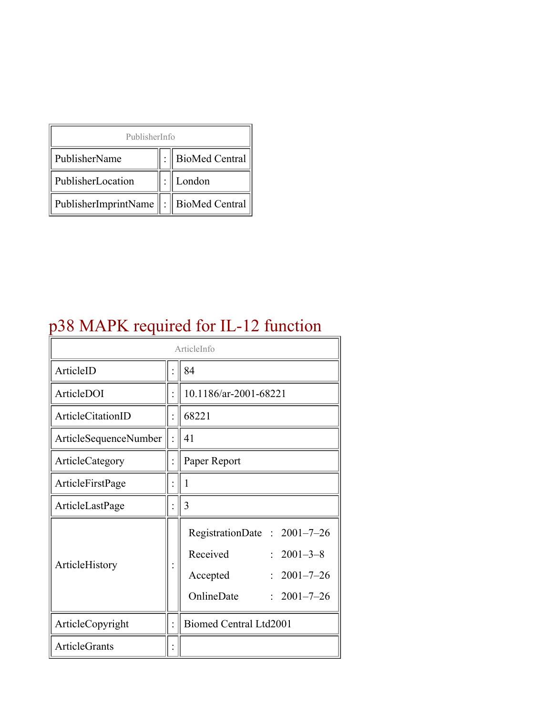| PublisherInfo                              |  |                  |  |  |
|--------------------------------------------|--|------------------|--|--|
| PublisherName                              |  | : BioMed Central |  |  |
| PublisherLocation                          |  | London           |  |  |
| PublisherImprintName   :    BioMed Central |  |                  |  |  |

# p38 MAPK required for IL-12 function

| ArticleInfo           |  |                                                                                                                                          |
|-----------------------|--|------------------------------------------------------------------------------------------------------------------------------------------|
| ArticleID             |  | 84                                                                                                                                       |
| ArticleDOI            |  | 10.1186/ar-2001-68221                                                                                                                    |
| ArticleCitationID     |  | 68221                                                                                                                                    |
| ArticleSequenceNumber |  | 41                                                                                                                                       |
| ArticleCategory       |  | Paper Report                                                                                                                             |
| ArticleFirstPage      |  | 1                                                                                                                                        |
| ArticleLastPage       |  | 3                                                                                                                                        |
| ArticleHistory        |  | RegistrationDate: 2001-7-26<br>Received<br>$2001 - 3 - 8$<br>$2001 - 7 - 26$<br>Accepted<br>OnlineDate<br>$2001 - 7 - 26$<br>$\bullet$ . |
| ArticleCopyright      |  | Biomed Central Ltd2001                                                                                                                   |
| <b>ArticleGrants</b>  |  |                                                                                                                                          |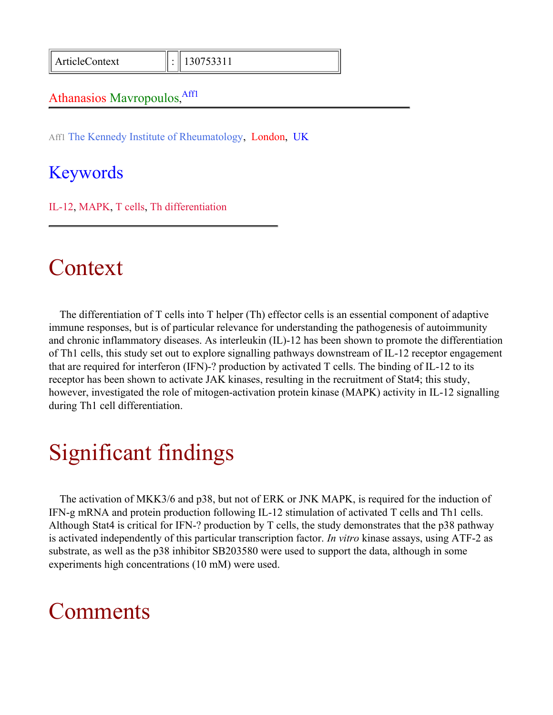ArticleContext : 130753311

#### Athanasios Mavropoulos, Aff1

Aff1 The Kennedy Institute of Rheumatology, London, UK

### Keywords

IL-12, MAPK, T cells, Th differentiation

# Context

The differentiation of T cells into T helper (Th) effector cells is an essential component of adaptive immune responses, but is of particular relevance for understanding the pathogenesis of autoimmunity and chronic inflammatory diseases. As interleukin (IL)-12 has been shown to promote the differentiation of Th1 cells, this study set out to explore signalling pathways downstream of IL-12 receptor engagement that are required for interferon (IFN)-? production by activated T cells. The binding of IL-12 to its receptor has been shown to activate JAK kinases, resulting in the recruitment of Stat4; this study, however, investigated the role of mitogen-activation protein kinase (MAPK) activity in IL-12 signalling during Th1 cell differentiation.

# Significant findings

The activation of MKK3/6 and p38, but not of ERK or JNK MAPK, is required for the induction of IFN-g mRNA and protein production following IL-12 stimulation of activated T cells and Th1 cells. Although Stat4 is critical for IFN-? production by T cells, the study demonstrates that the p38 pathway is activated independently of this particular transcription factor. *In vitro* kinase assays, using ATF-2 as substrate, as well as the p38 inhibitor SB203580 were used to support the data, although in some experiments high concentrations (10 mM) were used.

# **Comments**